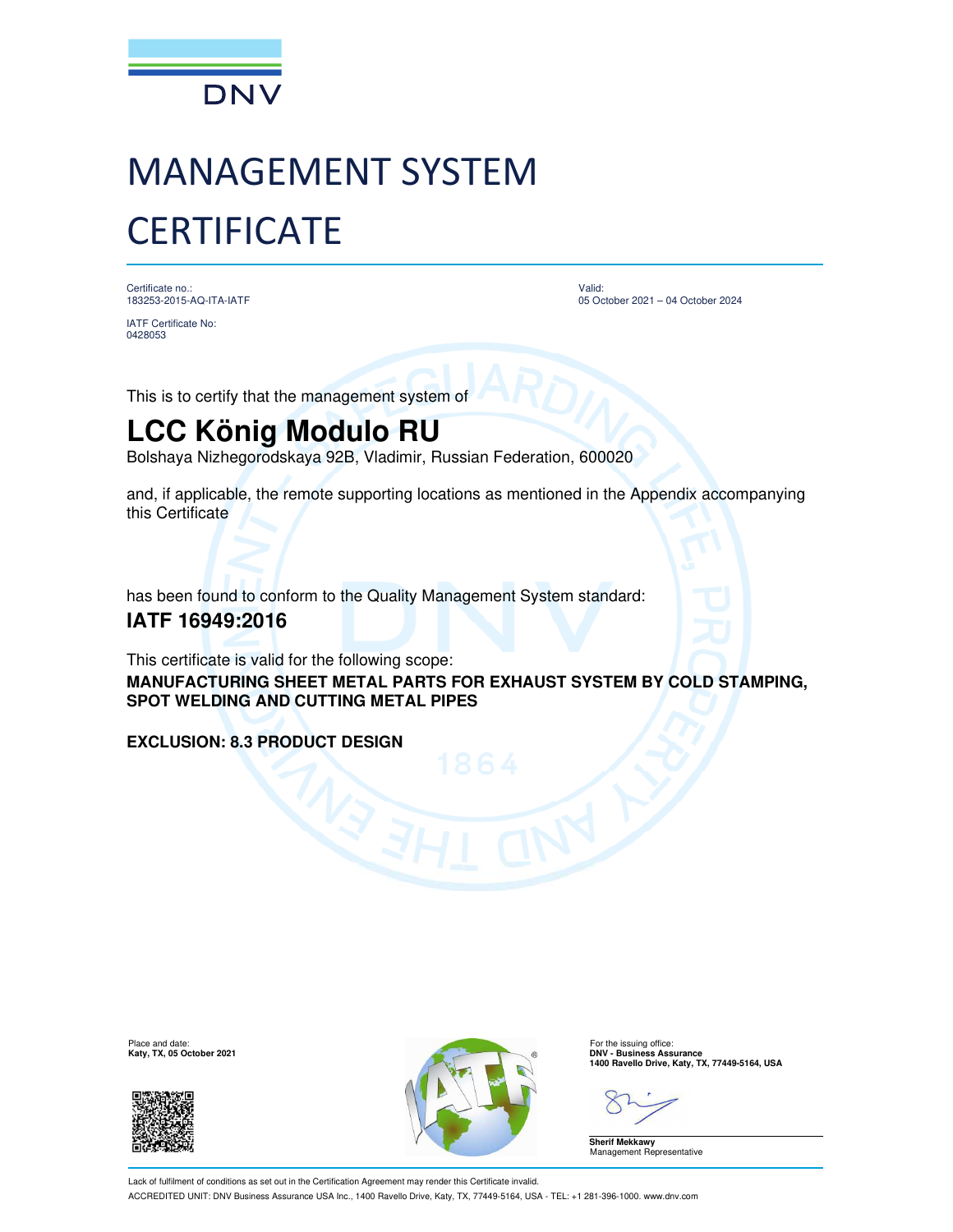

# MANAGEMENT SYSTEM **CERTIFICATE**

Certificate no.: 183253-2015-AQ-ITA-IATF

IATF Certificate No: 0428053

Valid: 05 October 2021 – 04 October 2024

This is to certify that the management system of

## **LCC König Modulo RU**

Bolshaya Nizhegorodskaya 92B, Vladimir, Russian Federation, 600020

and, if applicable, the remote supporting locations as mentioned in the Appendix accompanying this Certificate

has been found to conform to the Quality Management System standard:

#### **IATF 16949:2016**

This certificate is valid for the following scope:

**MANUFACTURING SHEET METAL PARTS FOR EXHAUST SYSTEM BY COLD STAMPING, SPOT WELDING AND CUTTING METAL PIPES**

#### **EXCLUSION: 8.3 PRODUCT DESIGN**

Place and date:<br>Katy, TX, 05 October 2021





For the issuing office:<br>**DNV - Business Assurance 1400 Ravello Drive, Katy, TX, 77449-5164, USA**

**Sherif Mekkawy** Management Representative